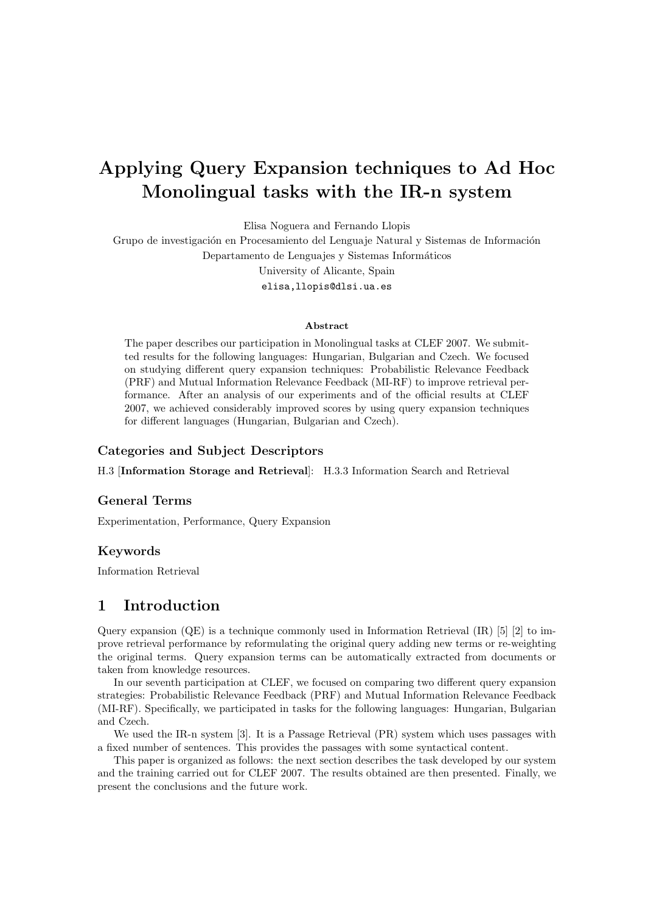# Applying Query Expansion techniques to Ad Hoc Monolingual tasks with the IR-n system

Elisa Noguera and Fernando Llopis

Grupo de investigación en Procesamiento del Lenguaje Natural y Sistemas de Información Departamento de Lenguajes y Sistemas Informáticos University of Alicante, Spain elisa,llopis@dlsi.ua.es

#### Abstract

The paper describes our participation in Monolingual tasks at CLEF 2007. We submitted results for the following languages: Hungarian, Bulgarian and Czech. We focused on studying different query expansion techniques: Probabilistic Relevance Feedback (PRF) and Mutual Information Relevance Feedback (MI-RF) to improve retrieval performance. After an analysis of our experiments and of the official results at CLEF 2007, we achieved considerably improved scores by using query expansion techniques for different languages (Hungarian, Bulgarian and Czech).

#### Categories and Subject Descriptors

H.3 [Information Storage and Retrieval]: H.3.3 Information Search and Retrieval

#### General Terms

Experimentation, Performance, Query Expansion

#### Keywords

Information Retrieval

## 1 Introduction

Query expansion  $(QE)$  is a technique commonly used in Information Retrieval  $(IR)$  [5] [2] to improve retrieval performance by reformulating the original query adding new terms or re-weighting the original terms. Query expansion terms can be automatically extracted from documents or taken from knowledge resources.

In our seventh participation at CLEF, we focused on comparing two different query expansion strategies: Probabilistic Relevance Feedback (PRF) and Mutual Information Relevance Feedback (MI-RF). Specifically, we participated in tasks for the following languages: Hungarian, Bulgarian and Czech.

We used the IR-n system [3]. It is a Passage Retrieval (PR) system which uses passages with a fixed number of sentences. This provides the passages with some syntactical content.

This paper is organized as follows: the next section describes the task developed by our system and the training carried out for CLEF 2007. The results obtained are then presented. Finally, we present the conclusions and the future work.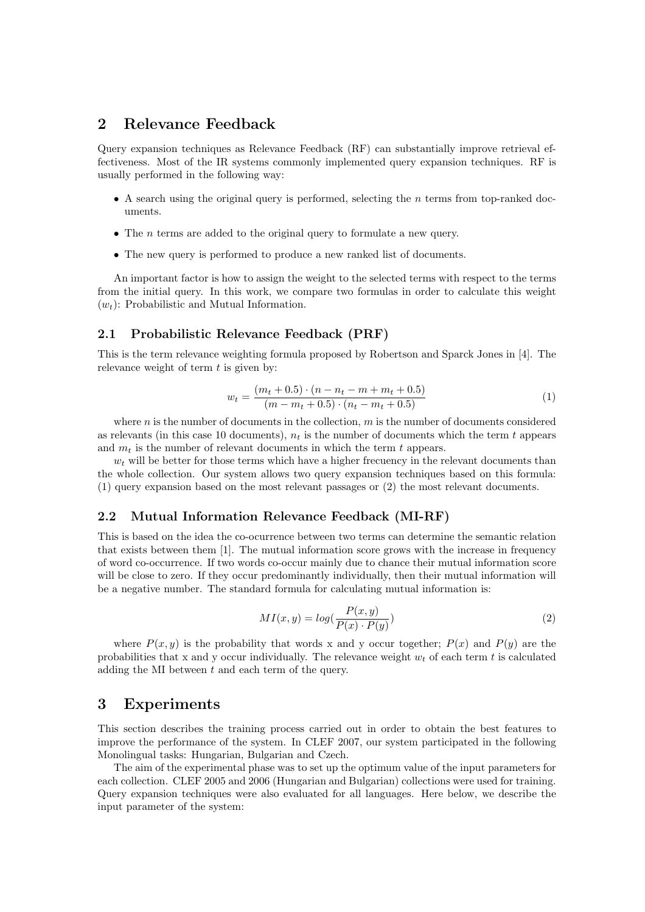# 2 Relevance Feedback

Query expansion techniques as Relevance Feedback (RF) can substantially improve retrieval effectiveness. Most of the IR systems commonly implemented query expansion techniques. RF is usually performed in the following way:

- A search using the original query is performed, selecting the n terms from top-ranked documents.
- The *n* terms are added to the original query to formulate a new query.
- The new query is performed to produce a new ranked list of documents.

An important factor is how to assign the weight to the selected terms with respect to the terms from the initial query. In this work, we compare two formulas in order to calculate this weight  $(w_t)$ : Probabilistic and Mutual Information.

#### 2.1 Probabilistic Relevance Feedback (PRF)

This is the term relevance weighting formula proposed by Robertson and Sparck Jones in [4]. The relevance weight of term  $t$  is given by:

$$
w_t = \frac{(m_t + 0.5) \cdot (n - n_t - m + m_t + 0.5)}{(m - m_t + 0.5) \cdot (n_t - m_t + 0.5)}
$$
(1)

where  $n$  is the number of documents in the collection,  $m$  is the number of documents considered as relevants (in this case 10 documents),  $n_t$  is the number of documents which the term t appears and  $m_t$  is the number of relevant documents in which the term t appears.

 $w_t$  will be better for those terms which have a higher frecuency in the relevant documents than the whole collection. Our system allows two query expansion techniques based on this formula: (1) query expansion based on the most relevant passages or (2) the most relevant documents.

#### 2.2 Mutual Information Relevance Feedback (MI-RF)

This is based on the idea the co-ocurrence between two terms can determine the semantic relation that exists between them [1]. The mutual information score grows with the increase in frequency of word co-occurrence. If two words co-occur mainly due to chance their mutual information score will be close to zero. If they occur predominantly individually, then their mutual information will be a negative number. The standard formula for calculating mutual information is:

$$
MI(x,y) = log(\frac{P(x,y)}{P(x) \cdot P(y)})
$$
\n(2)

where  $P(x, y)$  is the probability that words x and y occur together;  $P(x)$  and  $P(y)$  are the probabilities that x and y occur individually. The relevance weight  $w_t$  of each term t is calculated adding the MI between  $t$  and each term of the query.

# 3 Experiments

This section describes the training process carried out in order to obtain the best features to improve the performance of the system. In CLEF 2007, our system participated in the following Monolingual tasks: Hungarian, Bulgarian and Czech.

The aim of the experimental phase was to set up the optimum value of the input parameters for each collection. CLEF 2005 and 2006 (Hungarian and Bulgarian) collections were used for training. Query expansion techniques were also evaluated for all languages. Here below, we describe the input parameter of the system: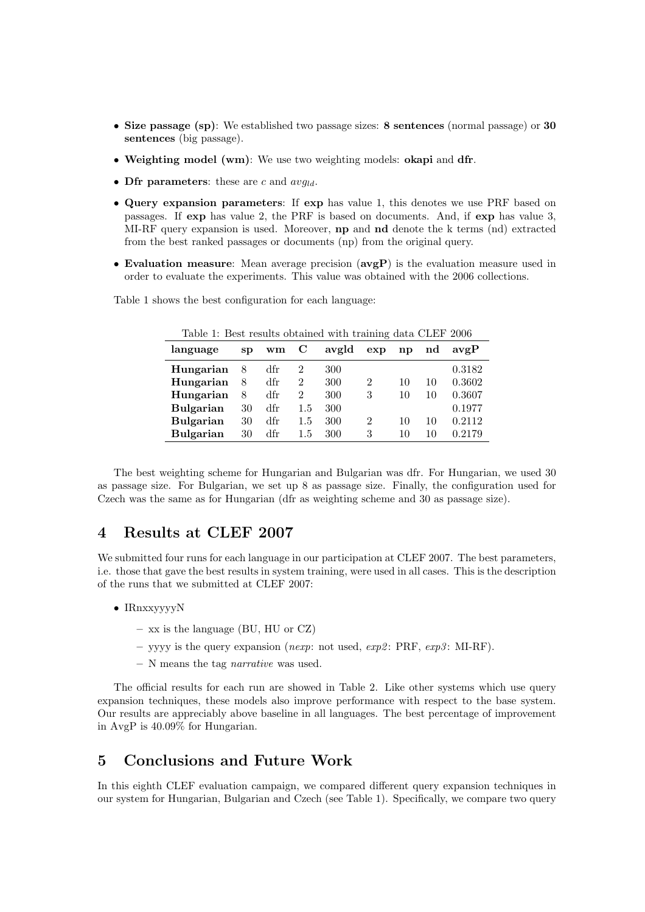- Size passage (sp): We established two passage sizes: 8 sentences (normal passage) or 30 sentences (big passage).
- Weighting model (wm): We use two weighting models: okapi and dfr.
- Dfr parameters: these are c and  $avg_{ld}$ .
- Query expansion parameters: If exp has value 1, this denotes we use PRF based on passages. If exp has value 2, the PRF is based on documents. And, if exp has value 3, MI-RF query expansion is used. Moreover, np and nd denote the k terms (nd) extracted from the best ranked passages or documents (np) from the original query.
- Evaluation measure: Mean average precision (avgP) is the evaluation measure used in order to evaluate the experiments. This value was obtained with the 2006 collections.

| Table 1: Best results obtained with training data CLEF 2006 |    |     |     |       |     |               |    |        |  |  |
|-------------------------------------------------------------|----|-----|-----|-------|-----|---------------|----|--------|--|--|
| language                                                    | SD | wm  | C   | avgld | exp | $\mathbf{np}$ | nd | avgP   |  |  |
| Hungarian                                                   | 8  | dfr | 2   | 300   |     |               |    | 0.3182 |  |  |
| Hungarian                                                   | 8  | dfr | 2   | 300   | 2   | 10            | 10 | 0.3602 |  |  |
| Hungarian                                                   | 8  | dfr | 2   | 300   | 3   | 10            | 10 | 0.3607 |  |  |
| <b>Bulgarian</b>                                            | 30 | dfr | 1.5 | 300   |     |               |    | 0.1977 |  |  |
| <b>Bulgarian</b>                                            | 30 | dfr | 1.5 | 300   | 2   | 10            | 10 | 0.2112 |  |  |
| <b>Bulgarian</b>                                            | 30 | dfr | 1.5 | 300   | 3   | 10            | 10 | 0.2179 |  |  |

Table 1 shows the best configuration for each language:

The best weighting scheme for Hungarian and Bulgarian was dfr. For Hungarian, we used 30 as passage size. For Bulgarian, we set up 8 as passage size. Finally, the configuration used for Czech was the same as for Hungarian (dfr as weighting scheme and 30 as passage size).

## 4 Results at CLEF 2007

We submitted four runs for each language in our participation at CLEF 2007. The best parameters, i.e. those that gave the best results in system training, were used in all cases. This is the description of the runs that we submitted at CLEF 2007:

- IRnxxyyyyN
	- xx is the language (BU, HU or CZ)
	- yyyy is the query expansion (nexp: not used, exp2: PRF, exp3: MI-RF).
	- N means the tag narrative was used.

The official results for each run are showed in Table 2. Like other systems which use query expansion techniques, these models also improve performance with respect to the base system. Our results are appreciably above baseline in all languages. The best percentage of improvement in AvgP is 40.09% for Hungarian.

# 5 Conclusions and Future Work

In this eighth CLEF evaluation campaign, we compared different query expansion techniques in our system for Hungarian, Bulgarian and Czech (see Table 1). Specifically, we compare two query